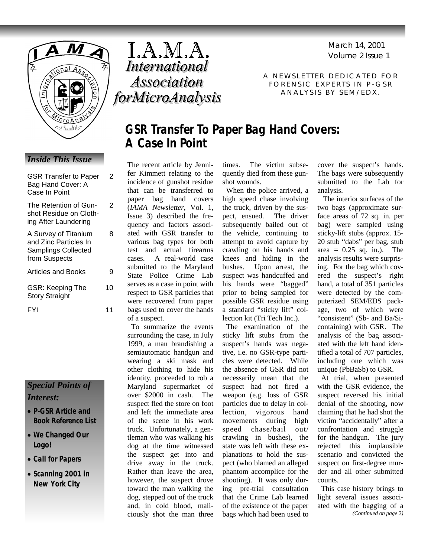

# *Inside This Issue*

| <b>GSR Transfer to Paper</b><br>Bag Hand Cover: A<br>Case In Point                           | 2 |
|----------------------------------------------------------------------------------------------|---|
| The Retention of Gun-<br>shot Residue on Cloth-<br>ing After Laundering                      | 2 |
| A Survey of Titanium<br>and Zinc Particles In<br><b>Samplings Collected</b><br>from Suspects | я |
| <b>Articles and Books</b>                                                                    |   |

GSR: Keeping The Story Straight

10

FYI 11

# *Special Points of Interest:*

- **P-GSR Article and Book Reference List**
- **We Changed Our Logo!**
- **Call for Papers**
- **Scanning 2001 in New York City**

I.A.M.A. International **Association** *forMicroAnalysis*  Volume 2 Issue 1 March 14, 2001

A NEWSLETTER DEDICATED FOR FORENSIC EXPERTS IN P-GSR ANALYSIS BY SEM/EDX.

# **GSR Transfer To Paper Bag Hand Covers: A Case In Point**

The recent article by Jennifer Kimmett relating to the incidence of gunshot residue that can be transferred to paper bag hand covers (*IAMA Newsletter*, Vol. 1, Issue 3) described the frequency and factors associated with GSR transfer to various bag types for both test and actual firearms cases. A real-world case submitted to the Maryland State Police Crime Lab serves as a case in point with respect to GSR particles that were recovered from paper bags used to cover the hands of a suspect.

 To summarize the events surrounding the case, in July 1999, a man brandishing a semiautomatic handgun and wearing a ski mask and other clothing to hide his identity, proceeded to rob a Maryland supermarket of over \$2000 in cash. The suspect fled the store on foot and left the immediate area of the scene in his work truck. Unfortunately, a gentleman who was walking his dog at the time witnessed the suspect get into and drive away in the truck. Rather than leave the area, however, the suspect drove toward the man walking the dog, stepped out of the truck and, in cold blood, maliciously shot the man three

times. The victim subsequently died from these gunshot wounds.

 When the police arrived, a high speed chase involving the truck, driven by the suspect, ensued. The driver subsequently bailed out of the vehicle, continuing to attempt to avoid capture by crawling on his hands and knees and hiding in the bushes. Upon arrest, the suspect was handcuffed and his hands were "bagged" prior to being sampled for possible GSR residue using a standard "sticky lift" collection kit (Tri Tech Inc.).

 The examination of the sticky lift stubs from the suspect's hands was negative, i.e. no GSR-type particles were detected. While the absence of GSR did not necessarily mean that the suspect had not fired a weapon (e.g. loss of GSR particles due to delay in collection, vigorous hand movements during high speed chase/bail out/ crawling in bushes), the state was left with these explanations to hold the suspect (who blamed an alleged phantom accomplice for the shooting). It was only during pre-trial consultation that the Crime Lab learned of the existence of the paper bags which had been used to

cover the suspect's hands. The bags were subsequently submitted to the Lab for analysis.

 The interior surfaces of the two bags (approximate surface areas of 72 sq. in. per bag) were sampled using sticky-lift stubs (approx. 15- 20 stub "dabs" per bag, stub area  $= 0.25$  sq. in.). The analysis results were surprising. For the bag which covered the suspect's right hand, a total of 351 particles were detected by the computerized SEM/EDS package, two of which were "consistent" (Sb- and Ba/Sicontaining) with GSR. The analysis of the bag associated with the left hand identified a total of 707 particles, including one which was unique (PbBaSb) to GSR.

 At trial, when presented with the GSR evidence, the suspect reversed his initial denial of the shooting, now claiming that he had shot the victim "accidentally" after a confrontation and struggle for the handgun. The jury rejected this implausible scenario and convicted the suspect on first-degree murder and all other submitted counts.

 This case history brings to light several issues associated with the bagging of a *(Continued on page 2)*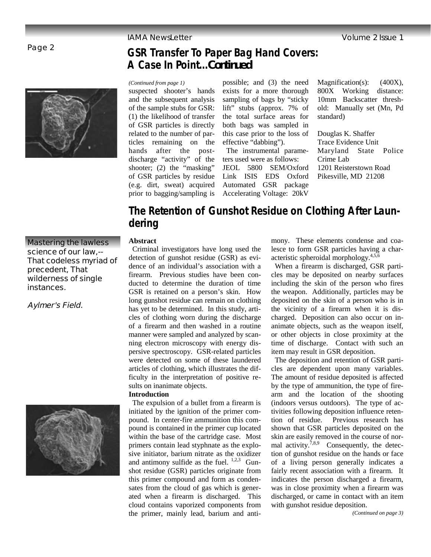## Page 2



*(Continued from page 1)* 

suspected shooter's hands and the subsequent analysis of the sample stubs for GSR: (1) the likelihood of transfer of GSR particles is directly related to the number of particles remaining on the hands after the postdischarge "activity" of the shooter; (2) the "masking" of GSR particles by residue (e.g. dirt, sweat) acquired prior to bagging/sampling is

**A Case In Point...***Continued*

possible; and (3) the need exists for a more thorough sampling of bags by "sticky lift" stubs (approx. 7% of the total surface areas for both bags was sampled in this case prior to the loss of effective "dabbing").

**GSR Transfer To Paper Bag Hand Covers:** 

 The instrumental parameters used were as follows: JEOL 5800 SEM/Oxford Link ISIS EDS Oxford Automated GSR package Accelerating Voltage: 20kV

Magnification(s): (400X), 800X Working distance: 10mm Backscatter threshold: Manually set (Mn, Pd standard)

Douglas K. Shaffer Trace Evidence Unit Maryland State Police Crime Lab 1201 Reisterstown Road Pikesville, MD 21208

# **The Retention of Gunshot Residue on Clothing After Laundering**

### **Abstract**

 Criminal investigators have long used the detection of gunshot residue (GSR) as evidence of an individual's association with a firearm. Previous studies have been conducted to determine the duration of time GSR is retained on a person's skin. How long gunshot residue can remain on clothing has yet to be determined. In this study, articles of clothing worn during the discharge of a firearm and then washed in a routine manner were sampled and analyzed by scanning electron microscopy with energy dispersive spectroscopy. GSR-related particles were detected on some of these laundered articles of clothing, which illustrates the difficulty in the interpretation of positive results on inanimate objects.

## **Introduction**

 The expulsion of a bullet from a firearm is initiated by the ignition of the primer compound. In center-fire ammunition this compound is contained in the primer cup located within the base of the cartridge case. Most primers contain lead styphnate as the explosive initiator, barium nitrate as the oxidizer and antimony sulfide as the fuel.  $1,2,3$  Gunshot residue (GSR) particles originate from this primer compound and form as condensates from the cloud of gas which is generated when a firearm is discharged. This cloud contains vaporized components from the primer, mainly lead, barium and antimony. These elements condense and coalesce to form GSR particles having a characteristic spheroidal morphology. $4,5,6$ 

 When a firearm is discharged, GSR particles may be deposited on nearby surfaces including the skin of the person who fires the weapon. Additionally, particles may be deposited on the skin of a person who is in the vicinity of a firearm when it is discharged. Deposition can also occur on inanimate objects, such as the weapon itself, or other objects in close proximity at the time of discharge. Contact with such an item may result in GSR deposition.

 The deposition and retention of GSR particles are dependent upon many variables. The amount of residue deposited is affected by the type of ammunition, the type of firearm and the location of the shooting (indoors versus outdoors). The type of activities following deposition influence retention of residue. Previous research has shown that GSR particles deposited on the skin are easily removed in the course of normal activity.<sup>7,8,9</sup> Consequently, the detection of gunshot residue on the hands or face of a living person generally indicates a fairly recent association with a firearm. It indicates the person discharged a firearm, was in close proximity when a firearm was discharged, or came in contact with an item with gunshot residue deposition.

*(Continued on page 3)* 

# **Mastering the lawless science of our law,-- That codeless myriad of precedent, That wilderness of single instances.**

**Aylmer's Field.**

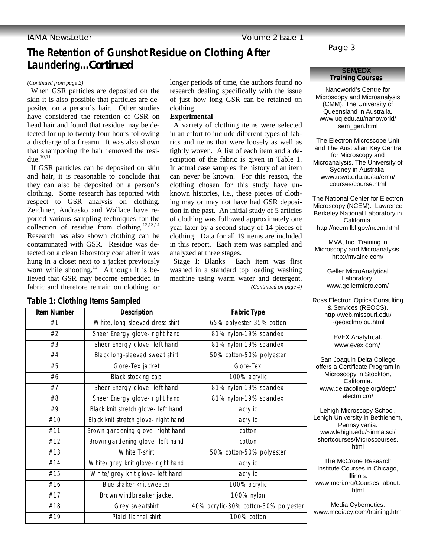# **The Retention of Gunshot Residue on Clothing After Laundering...***Continued*

 When GSR particles are deposited on the skin it is also possible that particles are deposited on a person's hair. Other studies have considered the retention of GSR on head hair and found that residue may be detected for up to twenty-four hours following a discharge of a firearm. It was also shown that shampooing the hair removed the residue. $10,11$ 

 If GSR particles can be deposited on skin and hair, it is reasonable to conclude that they can also be deposited on a person's clothing. Some research has reported with respect to GSR analysis on clothing. Zeichner, Andrasko and Wallace have reported various sampling techniques for the collection of residue from clothing.<sup>12,13,14</sup> Research has also shown clothing can be contaminated with GSR. Residue was detected on a clean laboratory coat after it was hung in a closet next to a jacket previously worn while shooting.<sup>13</sup> Although it is believed that GSR may become embedded in fabric and therefore remain on clothing for

**Training Courses** *(Continued from page 2)*  longer periods of time, the authors found no research dealing specifically with the issue of just how long GSR can be retained on clothing.

### **Experimental**

 A variety of clothing items were selected in an effort to include different types of fabrics and items that were loosely as well as tightly woven. A list of each item and a description of the fabric is given in Table 1. In actual case samples the history of an item can never be known. For this reason, the clothing chosen for this study have unknown histories, i.e., these pieces of clothing may or may not have had GSR deposition in the past. An initial study of 5 articles of clothing was followed approximately one year later by a second study of 14 pieces of clothing. Data for all 19 items are included in this report. Each item was sampled and analyzed at three stages.

 Stage I: Blanks Each item was first washed in a standard top loading washing machine using warm water and detergent. *(Continued on page 4)* 

## Page 3

# **SEM/EDX**

Nanoworld's Centre for Microscopy and Microanalysis (CMM). The University of Queensland in Australia. www.uq.edu.au/nanoworld/ sem\_gen.html

The Electron Microscope Unit and The Australian Key Centre for Microscopy and Microanalysis. The University of Sydney in Australia. www.usyd.edu.au/su/emu/ courses/course.html

The National Center for Electron Microscopy (NCEM). Lawrence Berkeley National Laboratory in California. http://ncem.lbl.gov/ncem.html

MVA, Inc. Training in Microscopy and Microanalysis. http://mvainc.com/

> Geller MicroÅnalytical Laboratory. www.gellermicro.com/

Ross Electron Optics Consulting & Services (REOCS). http://web.missouri.edu/ ~geosclmr/lou.html

> EVEX Analytical. www.evex.com/

San Joaquin Delta College offers a Certificate Program in Microscopy in Stockton, California. www.deltacollege.org/dept/ electmicro/

Lehigh Microscopy School, Lehigh University in Bethlehem, Pennsylvania. www.lehigh.edu/~inmatsci/ shortcourses/Microscourses. html

The McCrone Research Institute Courses in Chicago, Illinois. www.mcri.org/Courses\_about. html

Media Cybernetics. www.mediacy.com/training.htm

## **Table 1: Clothing Items Sampled**

| <b>Item Number</b> | <b>Description</b>                   | <b>Fabric Type</b>                   |
|--------------------|--------------------------------------|--------------------------------------|
| #1                 | White, long-sleeved dress shirt      | 65% polyester-35% cotton             |
| #2                 | Sheer Energy glove- right hand       | 81% nylon-19% spandex                |
| #3                 | Sheer Energy glove- left hand        | 81% nylon-19% spandex                |
| #4                 | Black long-sleeved sweat shirt       | 50% cotton-50% polyester             |
| #5                 | Gore-Tex jacket                      | Gore-Tex                             |
| #6                 | Black stocking cap                   | 100% acrylic                         |
| #7                 | Sheer Energy glove- left hand        | 81% nylon-19% spandex                |
| #8                 | Sheer Energy glove- right hand       | 81% nylon-19% spandex                |
| #9                 | Black knit stretch glove- left hand  | acrylic                              |
| #10                | Black knit stretch glove- right hand | acrylic                              |
| #11                | Brown gardening glove- right hand    | cotton                               |
| #12                | Brown gardening glove- left hand     | cotton                               |
| #13                | <b>White T-shirt</b>                 | 50% cotton-50% polyester             |
| #14                | White/grey knit glove- right hand    | acrylic                              |
| #15                | White/grey knit glove- left hand     | acrylic                              |
| #16                | Blue shaker knit sweater             | 100% acrylic                         |
| #17                | Brown windbreaker jacket             | 100% nylon                           |
| #18                | Grey sweatshirt                      | 40% acrylic-30% cotton-30% polyester |
| #19                | Plaid flannel shirt                  | 100% cotton                          |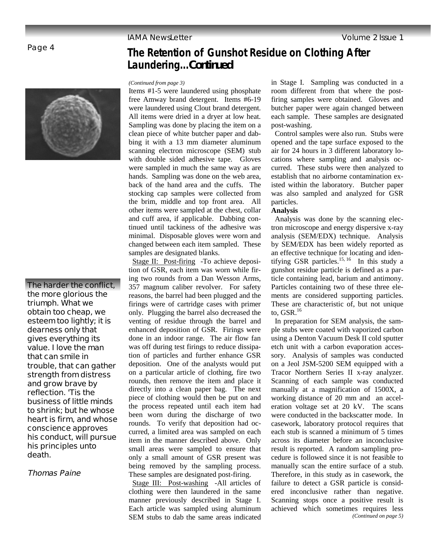**Laundering...***Continued*

## Page 4



**The harder the conflict, the more glorious the triumph. What we obtain too cheap, we esteem too lightly; it is dearness only that gives everything its value. I love the man that can smile in trouble, that can gather strength from distress and grow brave by reflection. 'Tis the business of little minds to shrink; but he whose heart is firm, and whose conscience approves his conduct, will pursue his principles unto death.** 

## **Thomas Paine**

#### *(Continued from page 3)*

Items #1-5 were laundered using phosphate free Amway brand detergent. Items #6-19 were laundered using Clout brand detergent. All items were dried in a dryer at low heat. Sampling was done by placing the item on a clean piece of white butcher paper and dabbing it with a 13 mm diameter aluminum scanning electron microscope (SEM) stub with double sided adhesive tape. Gloves were sampled in much the same way as are hands. Sampling was done on the web area, back of the hand area and the cuffs. The stocking cap samples were collected from the brim, middle and top front area. All other items were sampled at the chest, collar and cuff area, if applicable. Dabbing continued until tackiness of the adhesive was minimal. Disposable gloves were worn and changed between each item sampled. These samples are designated blanks.

 Stage II: Post-firing -To achieve deposition of GSR, each item was worn while firing two rounds from a Dan Wesson Arms, 357 magnum caliber revolver. For safety reasons, the barrel had been plugged and the firings were of cartridge cases with primer only. Plugging the barrel also decreased the venting of residue through the barrel and enhanced deposition of GSR. Firings were done in an indoor range. The air flow fan was off during test firings to reduce dissipation of particles and further enhance GSR deposition. One of the analysts would put on a particular article of clothing, fire two rounds, then remove the item and place it directly into a clean paper bag. The next piece of clothing would then be put on and the process repeated until each item had been worn during the discharge of two rounds. To verify that deposition had occurred, a limited area was sampled on each item in the manner described above. Only small areas were sampled to ensure that only a small amount of GSR present was being removed by the sampling process. These samples are designated post-firing.

 Stage III: Post-washing -All articles of clothing were then laundered in the same manner previously described in Stage I. Each article was sampled using aluminum SEM stubs to dab the same areas indicated

in Stage I. Sampling was conducted in a room different from that where the postfiring samples were obtained. Gloves and butcher paper were again changed between each sample. These samples are designated post-washing.

 Control samples were also run. Stubs were opened and the tape surface exposed to the air for 24 hours in 3 different laboratory locations where sampling and analysis occurred. These stubs were then analyzed to establish that no airborne contamination existed within the laboratory. Butcher paper was also sampled and analyzed for GSR particles.

### **Analysis**

**The Retention of Gunshot Residue on Clothing After** 

 Analysis was done by the scanning electron microscope and energy dispersive x-ray analysis (SEM/EDX) technique. Analysis by SEM/EDX has been widely reported as an effective technique for locating and identifying GSR particles.<sup>15, 16</sup> In this study a gunshot residue particle is defined as a particle containing lead, barium and antimony. Particles containing two of these three elements are considered supporting particles. These are characteristic of, but not unique to,  $GSR$ <sup>16</sup>

 In preparation for SEM analysis, the sample stubs were coated with vaporized carbon using a Denton Vacuum Desk II cold sputter etch unit with a carbon evaporation accessory. Analysis of samples was conducted on a Jeol JSM-5200 SEM equipped with a Tracor Northern Series II x-ray analyzer. Scanning of each sample was conducted manually at a magnification of 1500X, a working distance of 20 mm and an acceleration voltage set at 20 kV. The scans were conducted in the backscatter mode. In casework, laboratory protocol requires that each stub is scanned a minimum of 5 times across its diameter before an inconclusive result is reported. A random sampling procedure is followed since it is not feasible to manually scan the entire surface of a stub. Therefore, in this study as in casework, the failure to detect a GSR particle is considered inconclusive rather than negative. Scanning stops once a positive result is achieved which sometimes requires less *(Continued on page 5)*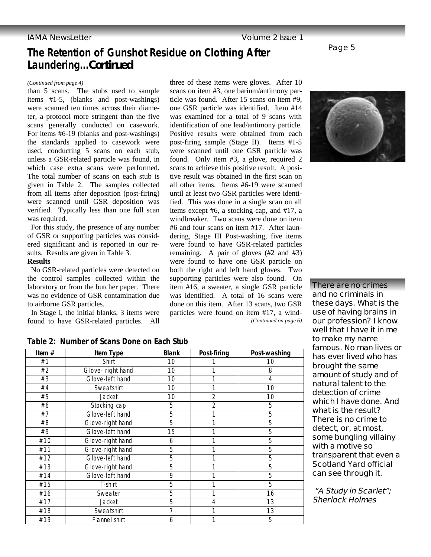# **The Retention of Gunshot Residue on Clothing After Laundering...***Continued*

### *(Continued from page 4)*

than 5 scans. The stubs used to sample items #1-5, (blanks and post-washings) were scanned ten times across their diameter, a protocol more stringent than the five scans generally conducted on casework. For items #6-19 (blanks and post-washings) the standards applied to casework were used, conducting 5 scans on each stub, unless a GSR-related particle was found, in which case extra scans were performed. The total number of scans on each stub is given in Table 2. The samples collected from all items after deposition (post-firing) were scanned until GSR deposition was verified. Typically less than one full scan was required.

 For this study, the presence of any number of GSR or supporting particles was considered significant and is reported in our results. Results are given in Table 3.

### **Results**

 No GSR-related particles were detected on the control samples collected within the laboratory or from the butcher paper. There was no evidence of GSR contamination due to airborne GSR particles.

 In Stage I, the initial blanks, 3 items were found to have GSR-related particles. All three of these items were gloves. After 10 scans on item #3, one barium/antimony particle was found. After 15 scans on item #9, one GSR particle was identified. Item #14 was examined for a total of 9 scans with identification of one lead/antimony particle. Positive results were obtained from each post-firing sample (Stage II). Items #1-5 were scanned until one GSR particle was found. Only item #3, a glove, required 2 scans to achieve this positive result. A positive result was obtained in the first scan on all other items. Items #6-19 were scanned until at least two GSR particles were identified. This was done in a single scan on all items except #6, a stocking cap, and #17, a windbreaker. Two scans were done on item #6 and four scans on item #17. After laundering, Stage III Post-washing, five items were found to have GSR-related particles remaining. A pair of gloves (#2 and #3) were found to have one GSR particle on both the right and left hand gloves. Two supporting particles were also found. On item #16, a sweater, a single GSR particle was identified. A total of 16 scans were done on this item. After 13 scans, two GSR particles were found on item #17, a wind- *(Continued on page 6)* 



Page 5

**There are no crimes and no criminals in these days. What is the use of having brains in our profession? I know well that I have it in me to make my name famous. No man lives or has ever lived who has brought the same amount of study and of natural talent to the detection of crime which I have done. And what is the result? There is no crime to detect, or, at most, some bungling villainy with a motive so transparent that even a Scotland Yard official can see through it.** 

 **"A Study in Scarlet"; Sherlock Holmes** 

| Table 2: Number of Scans Done on Each Stub |
|--------------------------------------------|
|--------------------------------------------|

| Item $#$ | Item Type         | <b>Blank</b> | Post-firing    | Post-washing |
|----------|-------------------|--------------|----------------|--------------|
| #1       | Shirt             | 10           |                | 10           |
| #2       | Glove- right hand | 10           |                | 8            |
| #3       | Glove-left hand   | 10           |                | 4            |
| #4       | Sweatshirt        | 10           |                | 10           |
| #5       | Jacket            | 10           | $\overline{2}$ | 10           |
| #6       | Stocking cap      | 5            | $\overline{2}$ | 5            |
| #7       | Glove-left hand   | 5            |                | 5            |
| #8       | Glove-right hand  | 5            | 1              | 5            |
| #9       | Glove-left hand   | 15           |                | 5            |
| #10      | Glove-right hand  | 6            |                | 5            |
| #11      | Glove-right hand  | 5            |                | 5            |
| #12      | Glove-left hand   | 5            |                | 5            |
| #13      | Glove-right hand  | 5            |                | 5            |
| #14      | Glove-left hand   | 9            |                | 5            |
| #15      | T-shirt           | 5            |                | 5            |
| #16      | Sweater           | 5            |                | 16           |
| #17      | Jacket            | 5            | 4              | 13           |
| #18      | Sweatshirt        | 7            |                | 13           |
| #19      | Flannel shirt     | 6            |                | 5            |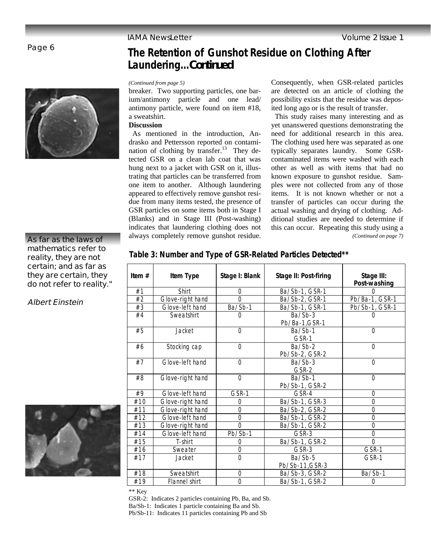# Page 6



# **The Retention of Gunshot Residue on Clothing After Laundering...***Continued*

### *(Continued from page 5)*

breaker. Two supporting particles, one barium/antimony particle and one lead/ antimony particle, were found on item #18, a sweatshirt.

### **Discussion**

 As mentioned in the introduction, Andrasko and Pettersson reported on contamination of clothing by transfer. $13$  They detected GSR on a clean lab coat that was hung next to a jacket with GSR on it, illustrating that particles can be transferred from one item to another. Although laundering appeared to effectively remove gunshot residue from many items tested, the presence of GSR particles on some items both in Stage I (Blanks) and in Stage III (Post-washing) indicates that laundering clothing does not always completely remove gunshot residue.

Consequently, when GSR-related particles are detected on an article of clothing the possibility exists that the residue was deposited long ago or is the result of transfer.

 This study raises many interesting and as yet unanswered questions demonstrating the need for additional research in this area. The clothing used here was separated as one typically separates laundry. Some GSRcontaminated items were washed with each other as well as with items that had no known exposure to gunshot residue. Samples were not collected from any of those items. It is not known whether or not a transfer of particles can occur during the actual washing and drying of clothing. Additional studies are needed to determine if this can occur. Repeating this study using a *(Continued on page 7)* 

## **As far as the laws of mathematics refer to reality, they are not certain; and as far as they are certain, they do not refer to reality."**

**Albert Einstein** 



| ltem # | Item Type        | Stage I: Blank | Stage II: Post-firing      | Stage III:<br>Post-washing |
|--------|------------------|----------------|----------------------------|----------------------------|
| #1     | Shirt            | $\Omega$       | Ba/Sb-1, GSR-1             |                            |
| #2     | Glove-right hand | $\Omega$       | Ba/Sb-2, GSR-1             | Pb/Ba-1, GSR-1             |
| #3     | Glove-left hand  | Ba/Sb-1        | Ba/Sb-1, GSR-1             | Pb/Sb-1, GSR-1             |
| #4     | Sweatshirt       | 0              | $Ba/Sb-3$<br>Pb/Ba-1,GSR-1 |                            |
| #5     | Jacket           | $\Omega$       | $Ba/Sb-1$<br>GSR-1         | $\Omega$                   |
| #6     | Stocking cap     | $\Omega$       | Ba/Sb-2<br>Pb/Sb-2, GSR-2  | $\Omega$                   |
| #7     | Glove-left hand  | $\overline{0}$ | Ba/Sb-3<br>GSR-2           | $\overline{0}$             |
| #8     | Glove-right hand | $\Omega$       | Ba/Sb-1<br>Pb/Sb-1, GSR-2  | $\overline{0}$             |
| #9     | Glove-left hand  | GSR-1          | GSR-4                      | $\Omega$                   |
| #10    | Glove-right hand | 0              | Ba/Sb-1, GSR-3             | 0                          |
| #11    | Glove-right hand | 0              | Ba/Sb-2, GSR-2             | 0                          |
| #12    | Glove-left hand  | $\overline{0}$ | $Ba/Sb-1$ , $GSR-2$        | 0                          |
| #13    | Glove-right hand | $\overline{0}$ | Ba/Sb-1, GSR-2             | 0                          |
| #14    | Glove-left hand  | Pb/Sb-1        | GSR-3                      | 0                          |
| #15    | T-shirt          | 0              | Ba/Sb-1, GSR-2             | $\overline{0}$             |
| #16    | Sweater          | $\mathbf 0$    | GSR-3                      | GSR-1                      |
| #17    | Jacket           | $\mathbf 0$    | Ba/Sb-5<br>Pb/Sb-11, GSR-3 | GSR-1                      |

#18 Sweatshirt 0 Ba/Sb-3, GSR-2 Ba/Sb-1 #19 Flannel shirt 0 Ba/Sb-1, GSR-2 0

**Table 3: Number and Type of GSR-Related Particles Detected\*\***

\*\* Key

GSR-2: Indicates 2 particles containing Pb, Ba, and Sb. Ba/Sb-1: Indicates 1 particle containing Ba and Sb. Pb/Sb-11: Indicates 11 particles containing Pb and Sb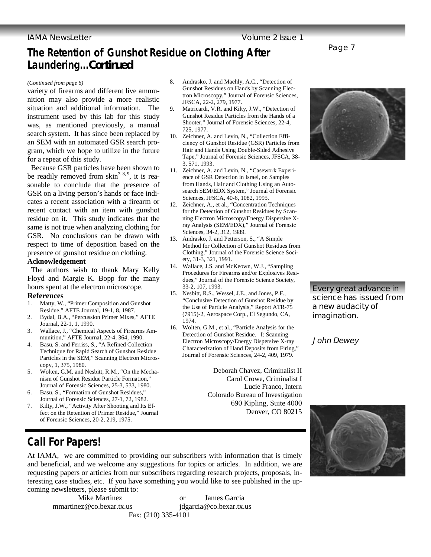# **The Retention of Gunshot Residue on Clothing After Laundering...***Continued*

#### *(Continued from page 6)*

variety of firearms and different live ammunition may also provide a more realistic situation and additional information. The instrument used by this lab for this study was, as mentioned previously, a manual search system. It has since been replaced by an SEM with an automated GSR search program, which we hope to utilize in the future for a repeat of this study.

 Because GSR particles have been shown to be readily removed from skin<sup>7, 8, 9</sup>, it is reasonable to conclude that the presence of GSR on a living person's hands or face indicates a recent association with a firearm or recent contact with an item with gunshot residue on it. This study indicates that the same is not true when analyzing clothing for GSR. No conclusions can be drawn with respect to time of deposition based on the presence of gunshot residue on clothing.

### **Acknowledgement**

 The authors wish to thank Mary Kelly Floyd and Margie K. Bopp for the many hours spent at the electron microscope.

### **References**

- 1. Matty, W., "Primer Composition and Gunshot Residue," AFTE Journal, 19-1, 8, 1987.
- 2. Bydal, B.A., "Percussion Primer Mixes," AFTE Journal, 22-1, 1, 1990.
- 3. Wallace, J., "Chemical Aspects of Firearms Ammunition," AFTE Journal, 22-4, 364, 1990.
- 4. Basu, S. and Ferriss, S., "A Refined Collection Technique for Rapid Search of Gunshot Residue Particles in the SEM," Scanning Electron Microscopy, 1, 375, 1980.
- 5. Wolten, G.M. and Nesbitt, R.M., "On the Mechanism of Gunshot Residue Particle Formation," Journal of Forensic Sciences, 25-3, 533, 1980.
- 6. Basu, S., "Formation of Gunshot Residues," Journal of Forensic Sciences, 27-1, 72, 1982.
- 7. Kilty, J.W., "Activity After Shooting and Its Effect on the Retention of Primer Residue," Journal of Forensic Sciences, 20-2, 219, 1975.

#### 8. Andrasko, J. and Maehly, A.C., "Detection of Gunshot Residues on Hands by Scanning Electron Microscopy," Journal of Forensic Sciences, JFSCA, 22-2, 279, 1977.

- 9. Matricardi, V.R. and Kilty, J.W., "Detection of Gunshot Residue Particles from the Hands of a Shooter," Journal of Forensic Sciences, 22-4, 725, 1977.
- 10. Zeichner, A. and Levin, N., "Collection Efficiency of Gunshot Residue (GSR) Particles from Hair and Hands Using Double-Sided Adhesive Tape," Journal of Forensic Sciences, JFSCA, 38- 3, 571, 1993.
- 11. Zeichner, A. and Levin, N., "Casework Experience of GSR Detection in Israel, on Samples from Hands, Hair and Clothing Using an Autosearch SEM/EDX System," Journal of Forensic Sciences, JFSCA, 40-6, 1082, 1995.
- 12. Zeichner, A., et al., "Concentration Techniques for the Detection of Gunshot Residues by Scanning Electron Microscopy/Energy Dispersive Xray Analysis (SEM/EDX)," Journal of Forensic Sciences, 34-2, 312, 1989.
- 13. Andrasko, J. and Petterson, S., "A Simple Method for Collection of Gunshot Residues from Clothing," Journal of the Forensic Science Society, 31-3, 321, 1991.
- 14. Wallace, J.S. and McKeown, W.J., "Sampling Procedures for Firearms and/or Explosives Residues," Journal of the Forensic Science Society, 33-2, 107, 1993.
- 15. Nesbitt, R.S., Wessel, J.E., and Jones, P.F., "Conclusive Detection of Gunshot Residue by the Use of Particle Analysis," Report ATR-75 (7915)-2, Aerospace Corp., El Segundo, CA, 1974.
- 16. Wolten, G.M., et al., "Particle Analysis for the Detection of Gunshot Residue. I: Scanning Electron Microscopy/Energy Dispersive X-ray Characterization of Hand Deposits from Firing," Journal of Forensic Sciences, 24-2, 409, 1979.

Deborah Chavez, Criminalist II Carol Crowe, Criminalist I Lucie Franco, Intern Colorado Bureau of Investigation 690 Kipling, Suite 4000 Denver, CO 80215



Page 7

**Every great advance in science has issued from a new audacity of imagination.** 

**John Dewey** 



**Call For Papers!** 

At IAMA, we are committed to providing our subscribers with information that is timely and beneficial, and we welcome any suggestions for topics or articles. In addition, we are requesting papers or articles from our subscribers regarding research projects, proposals, interesting case studies, etc. If you have something you would like to see published in the upcoming newsletters, please submit to:

mmartinez@co.bexar.tx.us jdgarcia@co.bexar.tx.us

Mike Martinez or James Garcia Fax: (210) 335-4101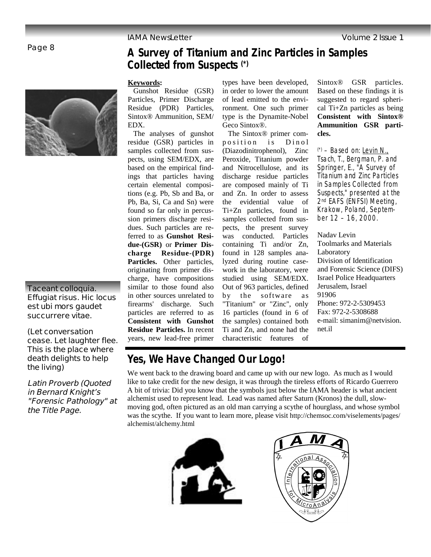# Page 8



# **Taceant colloquia. Effugiat risus. Hic locus est ubi mors gaudet succurrere vitae.**

**(Let conversation cease. Let laughter flee. This is the place where death delights to help the living)**

**Latin Proverb (Quoted in Bernard Knight's "Forensic Pathology" at the Title Page.** 

# **A Survey of Titanium and Zinc Particles in Samples Collected from Suspects (\*)**

### **Keywords:**

Gunshot Residue (GSR) Particles, Primer Discharge Residue (PDR) Particles, Sintox® Ammunition, SEM/ EDX.

 The analyses of gunshot residue (GSR) particles in samples collected from suspects, using SEM/EDX, are based on the empirical findings that particles having certain elemental compositions (e.g. Pb, Sb and Ba, or Pb, Ba, Si, Ca and Sn) were found so far only in percussion primers discharge residues. Such particles are referred to as **Gunshot Residue-(GSR)** or **Primer Discharge Residue-(PDR) Particles.** Other particles, originating from primer discharge, have compositions similar to those found also in other sources unrelated to firearms' discharge. Such particles are referred to as **Consistent with Gunshot Residue Particles.** In recent years, new lead-free primer

types have been developed, in order to lower the amount of lead emitted to the environment. One such primer type is the Dynamite-Nobel Geco Sintox®.

 The Sintox® primer composition is Dinol (Diazodinitrophenol), Zinc Peroxide, Titanium powder and Nitrocellulose, and its discharge residue particles are composed mainly of Ti and Zn. In order to assess the evidential value of Ti+Zn particles, found in samples collected from suspects, the present survey was conducted. Particles containing Ti and/or Zn, found in 128 samples analyzed during routine casework in the laboratory, were studied using SEM/EDX. Out of 963 particles, defined by the software as "Titanium" or "Zinc", only 16 particles (found in 6 of the samples) contained both Ti and Zn, and none had the characteristic features of

Sintox® GSR particles. Based on these findings it is suggested to regard spherical Ti+Zn particles as being **Consistent with Sintox® Ammunition GSR particles.** 

 $(*)$  – Based on: Levin N., Tsach, T., Bergman, P. and Springer, E., "A Survey of Titanium and Zinc Particles in Samples Collected from Suspects," presented at the 2<sup>nd</sup> EAFS (ENFSI) Meeting, Krakow, Poland, September 12 – 16, 2000.

Nadav Levin Toolmarks and Materials Laboratory Division of Identification and Forensic Science (DIFS) Israel Police Headquarters Jerusalem, Israel 91906 Phone: 972-2-5309453 Fax: 972-2-5308688 e-mail: simanim@netvision. net.il

# **Yes, We Have Changed Our Logo!**

We went back to the drawing board and came up with our new logo. As much as I would like to take credit for the new design, it was through the tireless efforts of Ricardo Guerrero A bit of trivia: Did you know that the symbols just below the IAMA header is what ancient alchemist used to represent lead. Lead was named after Saturn (Kronos) the dull, slowmoving god, often pictured as an old man carrying a scythe of hourglass, and whose symbol was the scythe. If you want to learn more, please visit http://chemsoc.com/viselements/pages/ alchemist/alchemy.html



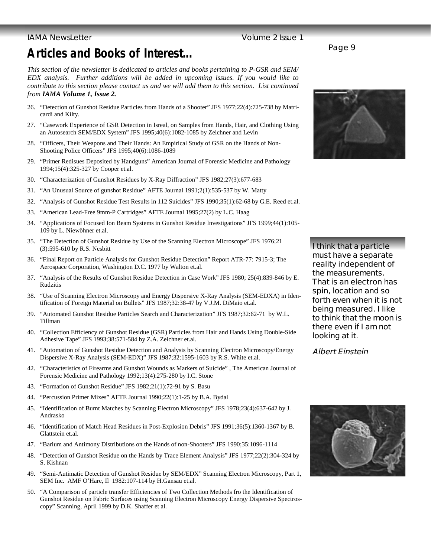## **IAMA NewsLetter Contract Contract Contract Contract Contract Contract Contract Contract Contract Contract Contract Contract Contract Contract Contract Contract Contract Contract Contract Contract Contract Contract Contrac**

# **Articles and Books of Interest...**

*This section of the newsletter is dedicated to articles and books pertaining to P-GSR and SEM/ EDX analysis. Further additions will be added in upcoming issues. If you would like to contribute to this section please contact us and we will add them to this section. List continued from IAMA Volume 1, Issue 2.*

- 26. "Detection of Gunshot Residue Particles from Hands of a Shooter" JFS 1977;22(4):725-738 by Matricardi and Kilty.
- 27. "Casework Experience of GSR Detection in Isreal, on Samples from Hands, Hair, and Clothing Using an Autosearch SEM/EDX System" JFS 1995;40(6):1082-1085 by Zeichner and Levin
- 28. "Officers, Their Weapons and Their Hands: An Empirical Study of GSR on the Hands of Non-Shooting Police Officers" JFS 1995;40(6):1086-1089
- 29. "Primer Redisues Deposited by Handguns" American Journal of Forensic Medicine and Pathology 1994;15(4):325-327 by Cooper et.al.
- 30. "Characterization of Gunshot Residues by X-Ray Diffraction" JFS 1982;27(3):677-683
- 31. "An Unusual Source of gunshot Residue" AFTE Journal 1991;2(1):535-537 by W. Matty
- 32. "Analysis of Gunshot Residue Test Results in 112 Suicides" JFS 1990;35(1):62-68 by G.E. Reed et.al.
- 33. "American Lead-Free 9mm-P Cartridges" AFTE Journal 1995;27(2) by L.C. Haag
- 34. "Applications of Focused Ion Beam Systems in Gunshot Residue Investigations" JFS 1999;44(1):105- 109 by L. Niewöhner et.al.
- 35. "The Detection of Gunshot Residue by Use of the Scanning Electron Microscope" JFS 1976;21 (3):595-610 by R.S. Nesbitt
- 36. "Final Report on Particle Analysis for Gunshot Residue Detection" Report ATR-77: 7915-3; The Aerospace Corporation, Washington D.C. 1977 by Walton et.al.
- 37. "Analysis of the Results of Gunshot Residue Detection in Case Work" JFS 1980; 25(4):839-846 by E. Rudzitis
- 38. "Use of Scanning Electron Microscopy and Energy Dispersive X-Ray Analysis (SEM-EDXA) in Identification of Foreign Material on Bullets" JFS 1987;32:38-47 by V.J.M. DiMaio et.al.
- 39. "Automated Gunshot Residue Particles Search and Characterization" JFS 1987;32:62-71 by W.L. Tillman
- 40. "Collection Efficiency of Gunshot Residue (GSR) Particles from Hair and Hands Using Double-Side Adhesive Tape" JFS 1993;38:571-584 by Z.A. Zeichner et.al.
- 41. "Automation of Gunshot Residue Detection and Analysis by Scanning Electron Microscopy/Energy Dispersive X-Ray Analysis (SEM-EDX)" JFS 1987;32:1595-1603 by R.S. White et.al.
- 42. "Characteristics of Firearms and Gunshot Wounds as Markers of Suicide" , The American Journal of Forensic Medicine and Pathology 1992;13(4):275-280 by I.C. Stone
- 43. "Formation of Gunshot Residue" JFS 1982;21(1):72-91 by S. Basu
- 44. "Percussion Primer Mixes" AFTE Journal 1990;22(1):1-25 by B.A. Bydal
- 45. "Identification of Burnt Matches by Scanning Electron Microscopy" JFS 1978;23(4):637-642 by J. Andrasko
- 46. "Identification of Match Head Residues in Post-Explosion Debris" JFS 1991;36(5):1360-1367 by B. Glattstein et.al.
- 47. "Barium and Antimony Distributions on the Hands of non-Shooters" JFS 1990;35:1096-1114
- 48. "Detection of Gunshot Residue on the Hands by Trace Element Analysis" JFS 1977;22(2):304-324 by S. Kishnan
- 49. "Semi-Autimatic Detection of Gunshot Residue by SEM/EDX" Scanning Electron Microscopy, Part 1, SEM Inc. AMF O'Hare, Il 1982:107-114 by H.Gansau et.al.
- 50. "A Comparison of particle transfer Efficiencies of Two Collection Methods fro the Identification of Gunshot Residue on Fabric Surfaces using Scanning Electron Microscopy Energy Dispersive Spectroscopy" Scanning, April 1999 by D.K. Shaffer et al.

Page 9



**I think that a particle must have a separate reality independent of the measurements. That is an electron has spin, location and so forth even when it is not being measured. I like to think that the moon is there even if I am not looking at it.** 

**Albert Einstein** 

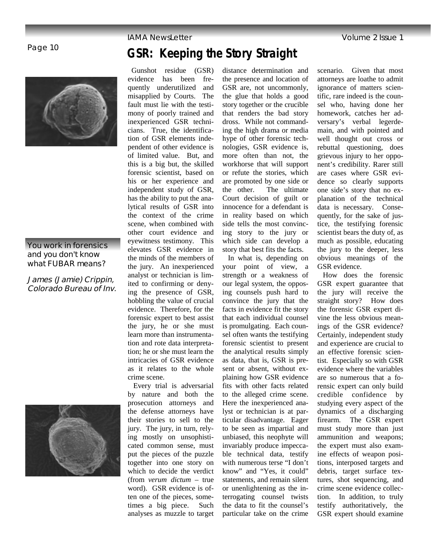

## **You work in forensics and you don't know what FUBAR means?**

**James (Jamie) Crippin, Colorado Bureau of Inv.** 



## IAMA NewsLetter Volume 2 Issue 1

# **GSR: Keeping the Story Straight**

 Gunshot residue (GSR) evidence has been frequently underutilized and misapplied by Courts. The fault must lie with the testimony of poorly trained and inexperienced GSR technicians. True, the identification of GSR elements independent of other evidence is of limited value. But, and this is a big but, the skilled forensic scientist, based on his or her experience and independent study of GSR, has the ability to put the analytical results of GSR into the context of the crime scene, when combined with other court evidence and eyewitness testimony. This elevates GSR evidence in the minds of the members of the jury. An inexperienced analyst or technician is limited to confirming or denying the presence of GSR, hobbling the value of crucial evidence. Therefore, for the forensic expert to best assist the jury, he or she must learn more than instrumentation and rote data interpretation; he or she must learn the intricacies of GSR evidence as it relates to the whole crime scene. Every trial is adversarial

by nature and both the prosecution attorneys and the defense attorneys have their stories to sell to the jury. The jury, in turn, relying mostly on unsophisticated common sense, must put the pieces of the puzzle together into one story on which to decide the verdict (from *verum dictum* – true word). GSR evidence is often one of the pieces, sometimes a big piece. Such analyses as muzzle to target

distance determination and the presence and location of GSR are, not uncommonly, the glue that holds a good story together or the crucible that renders the bad story dross. While not commanding the high drama or media hype of other forensic technologies, GSR evidence is, more often than not, the workhorse that will support or refute the stories, which are promoted by one side or the other. The ultimate Court decision of guilt or innocence for a defendant is in reality based on which side tells the most convincing story to the jury or which side can develop a story that best fits the facts.

 In what is, depending on your point of view, a strength or a weakness of our legal system, the opposing counsels push hard to convince the jury that the facts in evidence fit the story that each individual counsel is promulgating. Each counsel often wants the testifying forensic scientist to present the analytical results simply as data, that is, GSR is present or absent, without explaining how GSR evidence fits with other facts related to the alleged crime scene. Here the inexperienced analyst or technician is at particular disadvantage. Eager to be seen as impartial and unbiased, this neophyte will invariably produce impeccable technical data, testify with numerous terse "I don't know" and "Yes, it could" statements, and remain silent or unenlightening as the interrogating counsel twists the data to fit the counsel's particular take on the crime

scenario. Given that most attorneys are loathe to admit ignorance of matters scientific, rare indeed is the counsel who, having done her homework, catches her adversary's verbal legerdemain, and with pointed and well thought out cross or rebuttal questioning, does grievous injury to her opponent's credibility. Rarer still are cases where GSR evidence so clearly supports one side's story that no explanation of the technical data is necessary. Consequently, for the sake of justice, the testifying forensic scientist bears the duty of, as much as possible, educating the jury to the deeper, less obvious meanings of the GSR evidence.

 How does the forensic GSR expert guarantee that the jury will receive the straight story? How does the forensic GSR expert divine the less obvious meanings of the GSR evidence? Certainly, independent study and experience are crucial to an effective forensic scientist. Especially so with GSR evidence where the variables are so numerous that a forensic expert can only build credible confidence by studying every aspect of the dynamics of a discharging firearm. The GSR expert must study more than just ammunition and weapons; the expert must also examine effects of weapon positions, interposed targets and debris, target surface textures, shot sequencing, and crime scene evidence collection. In addition, to truly testify authoritatively, the GSR expert should examine